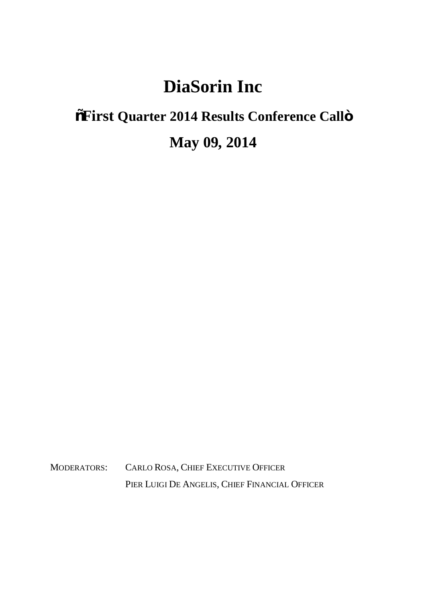## **DiaSorin Inc**

## **"First Quarter 2014 Results Conference Call" May 09, 2014**

MODERATORS: CARLO ROSA, CHIEF EXECUTIVE OFFICER PIER LUIGI DE ANGELIS, CHIEF FINANCIAL OFFICER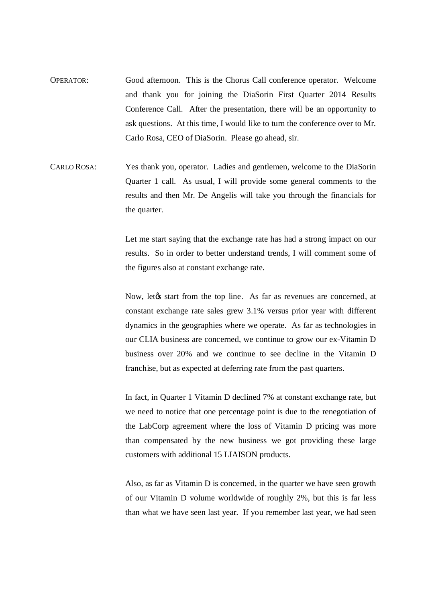- OPERATOR: Good afternoon. This is the Chorus Call conference operator. Welcome and thank you for joining the DiaSorin First Quarter 2014 Results Conference Call. After the presentation, there will be an opportunity to ask questions. At this time, I would like to turn the conference over to Mr. Carlo Rosa, CEO of DiaSorin. Please go ahead, sir.
- CARLO ROSA: Yes thank you, operator. Ladies and gentlemen, welcome to the DiaSorin Quarter 1 call. As usual, I will provide some general comments to the results and then Mr. De Angelis will take you through the financials for the quarter.

Let me start saying that the exchange rate has had a strong impact on our results. So in order to better understand trends, I will comment some of the figures also at constant exchange rate.

Now, letøs start from the top line. As far as revenues are concerned, at constant exchange rate sales grew 3.1% versus prior year with different dynamics in the geographies where we operate. As far as technologies in our CLIA business are concerned, we continue to grow our ex-Vitamin D business over 20% and we continue to see decline in the Vitamin D franchise, but as expected at deferring rate from the past quarters.

In fact, in Quarter 1 Vitamin D declined 7% at constant exchange rate, but we need to notice that one percentage point is due to the renegotiation of the LabCorp agreement where the loss of Vitamin D pricing was more than compensated by the new business we got providing these large customers with additional 15 LIAISON products.

Also, as far as Vitamin D is concerned, in the quarter we have seen growth of our Vitamin D volume worldwide of roughly 2%, but this is far less than what we have seen last year. If you remember last year, we had seen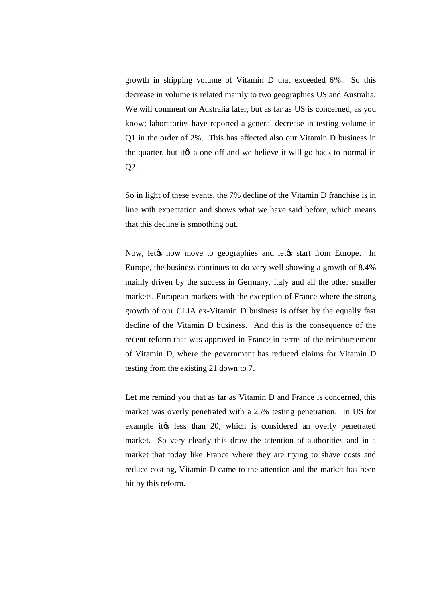growth in shipping volume of Vitamin D that exceeded 6%. So this decrease in volume is related mainly to two geographies US and Australia. We will comment on Australia later, but as far as US is concerned, as you know; laboratories have reported a general decrease in testing volume in Q1 in the order of 2%. This has affected also our Vitamin D business in the quarter, but it to a one-off and we believe it will go back to normal in Q2.

So in light of these events, the 7% decline of the Vitamin D franchise is in line with expectation and shows what we have said before, which means that this decline is smoothing out.

Now, let the now move to geographies and let ts start from Europe. In Europe, the business continues to do very well showing a growth of 8.4% mainly driven by the success in Germany, Italy and all the other smaller markets, European markets with the exception of France where the strong growth of our CLIA ex-Vitamin D business is offset by the equally fast decline of the Vitamin D business. And this is the consequence of the recent reform that was approved in France in terms of the reimbursement of Vitamin D, where the government has reduced claims for Vitamin D testing from the existing 21 down to 7.

Let me remind you that as far as Vitamin D and France is concerned, this market was overly penetrated with a 25% testing penetration. In US for example itgs less than 20, which is considered an overly penetrated market. So very clearly this draw the attention of authorities and in a market that today like France where they are trying to shave costs and reduce costing, Vitamin D came to the attention and the market has been hit by this reform.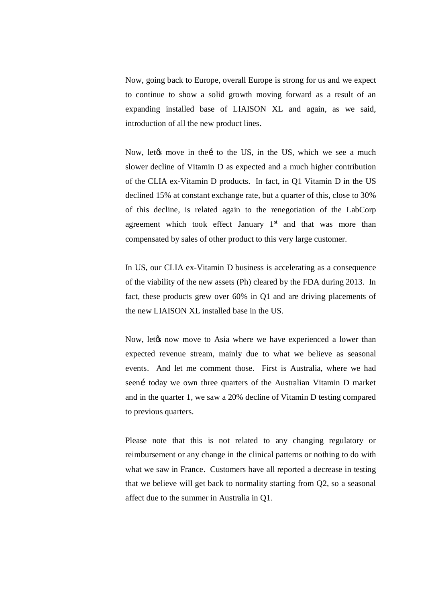Now, going back to Europe, overall Europe is strong for us and we expect to continue to show a solid growth moving forward as a result of an expanding installed base of LIAISON XL and again, as we said, introduction of all the new product lines.

Now, let to move in the i to the US, in the US, which we see a much slower decline of Vitamin D as expected and a much higher contribution of the CLIA ex-Vitamin D products. In fact, in Q1 Vitamin D in the US declined 15% at constant exchange rate, but a quarter of this, close to 30% of this decline, is related again to the renegotiation of the LabCorp agreement which took effect January  $1<sup>st</sup>$  and that was more than compensated by sales of other product to this very large customer.

In US, our CLIA ex-Vitamin D business is accelerating as a consequence of the viability of the new assets (Ph) cleared by the FDA during 2013. In fact, these products grew over 60% in Q1 and are driving placements of the new LIAISON XL installed base in the US.

Now, let the now move to Asia where we have experienced a lower than expected revenue stream, mainly due to what we believe as seasonal events. And let me comment those. First is Australia, where we had seení today we own three quarters of the Australian Vitamin D market and in the quarter 1, we saw a 20% decline of Vitamin D testing compared to previous quarters.

Please note that this is not related to any changing regulatory or reimbursement or any change in the clinical patterns or nothing to do with what we saw in France. Customers have all reported a decrease in testing that we believe will get back to normality starting from Q2, so a seasonal affect due to the summer in Australia in Q1.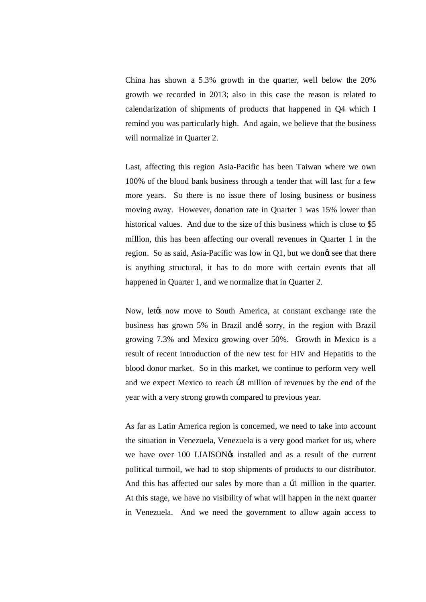China has shown a 5.3% growth in the quarter, well below the 20% growth we recorded in 2013; also in this case the reason is related to calendarization of shipments of products that happened in Q4 which I remind you was particularly high. And again, we believe that the business will normalize in Quarter 2.

Last, affecting this region Asia-Pacific has been Taiwan where we own 100% of the blood bank business through a tender that will last for a few more years. So there is no issue there of losing business or business moving away. However, donation rate in Quarter 1 was 15% lower than historical values. And due to the size of this business which is close to \$5 million, this has been affecting our overall revenues in Quarter 1 in the region. So as said, Asia-Pacific was low in Q1, but we dong see that there is anything structural, it has to do more with certain events that all happened in Quarter 1, and we normalize that in Quarter 2.

Now, let to now move to South America, at constant exchange rate the business has grown 5% in Brazil and sorry, in the region with Brazil growing 7.3% and Mexico growing over 50%. Growth in Mexico is a result of recent introduction of the new test for HIV and Hepatitis to the blood donor market. So in this market, we continue to perform very well and we expect Mexico to reach  $\beta$ 8 million of revenues by the end of the year with a very strong growth compared to previous year.

As far as Latin America region is concerned, we need to take into account the situation in Venezuela, Venezuela is a very good market for us, where we have over 100 LIAISON $\circ$ s installed and as a result of the current political turmoil, we had to stop shipments of products to our distributor. And this has affected our sales by more than a  $\beta$ 1 million in the quarter. At this stage, we have no visibility of what will happen in the next quarter in Venezuela. And we need the government to allow again access to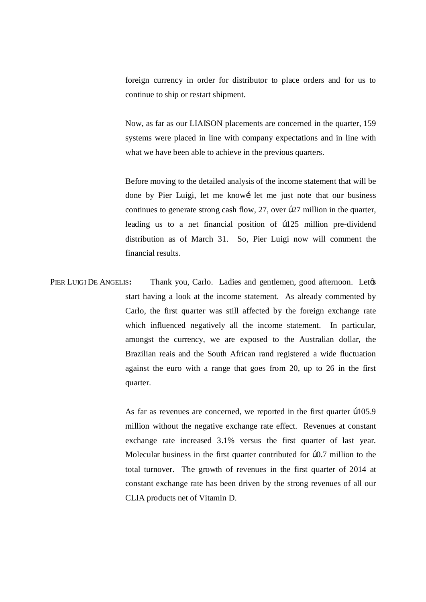foreign currency in order for distributor to place orders and for us to continue to ship or restart shipment.

Now, as far as our LIAISON placements are concerned in the quarter, 159 systems were placed in line with company expectations and in line with what we have been able to achieve in the previous quarters.

Before moving to the detailed analysis of the income statement that will be done by Pier Luigi, let me knowi let me just note that our business continues to generate strong cash flow,  $27$ , over  $b27$  million in the quarter, leading us to a net financial position of  $b125$  million pre-dividend distribution as of March 31. So, Pier Luigi now will comment the financial results.

PIER LUIGI DE ANGELIS: Thank you, Carlo. Ladies and gentlemen, good afternoon. Let<sub>*(S*)</sub> start having a look at the income statement. As already commented by Carlo, the first quarter was still affected by the foreign exchange rate which influenced negatively all the income statement. In particular, amongst the currency, we are exposed to the Australian dollar, the Brazilian reais and the South African rand registered a wide fluctuation against the euro with a range that goes from 20, up to 26 in the first quarter.

> As far as revenues are concerned, we reported in the first quarter  $b105.9$ million without the negative exchange rate effect. Revenues at constant exchange rate increased 3.1% versus the first quarter of last year. Molecular business in the first quarter contributed for  $\frac{1}{0.7}$  million to the total turnover. The growth of revenues in the first quarter of 2014 at constant exchange rate has been driven by the strong revenues of all our CLIA products net of Vitamin D.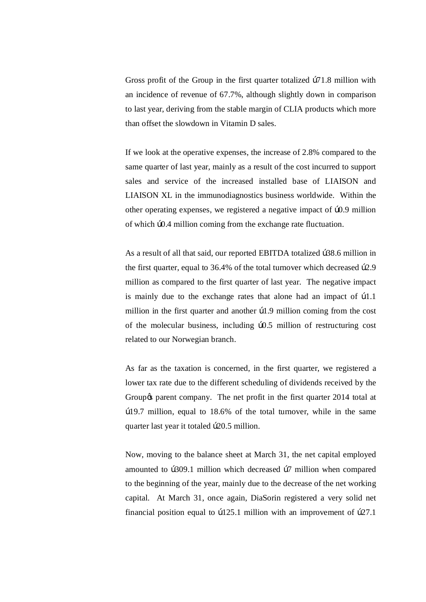Gross profit of the Group in the first quarter totalized  $\beta$ 71.8 million with an incidence of revenue of 67.7%, although slightly down in comparison to last year, deriving from the stable margin of CLIA products which more than offset the slowdown in Vitamin D sales.

If we look at the operative expenses, the increase of 2.8% compared to the same quarter of last year, mainly as a result of the cost incurred to support sales and service of the increased installed base of LIAISON and LIAISON XL in the immunodiagnostics business worldwide. Within the other operating expenses, we registered a negative impact of  $\text{p0.9}$  million of which  $\frac{10.4 \text{ million coming from the exchange rate fluctuation}}{10.4 \text{ million coming from the exchange rate fluctuation}}$ .

As a result of all that said, our reported EBITDA totalized  $b38.6$  million in the first quarter, equal to  $36.4\%$  of the total turnover which decreased  $b2.9$ million as compared to the first quarter of last year. The negative impact is mainly due to the exchange rates that alone had an impact of  $\beta$ 1.1 million in the first quarter and another  $\beta$ 1.9 million coming from the cost of the molecular business, including  $b0.5$  million of restructuring cost related to our Norwegian branch.

As far as the taxation is concerned, in the first quarter, we registered a lower tax rate due to the different scheduling of dividends received by the Group  $\alpha$  parent company. The net profit in the first quarter 2014 total at €19.7 million, equal to 18.6% of the total turnover, while in the same quarter last year it totaled  $\beta$ 20.5 million.

Now, moving to the balance sheet at March 31, the net capital employed amounted to  $b309.1$  million which decreased  $b7$  million when compared to the beginning of the year, mainly due to the decrease of the net working capital. At March 31, once again, DiaSorin registered a very solid net financial position equal to  $b125.1$  million with an improvement of  $b27.1$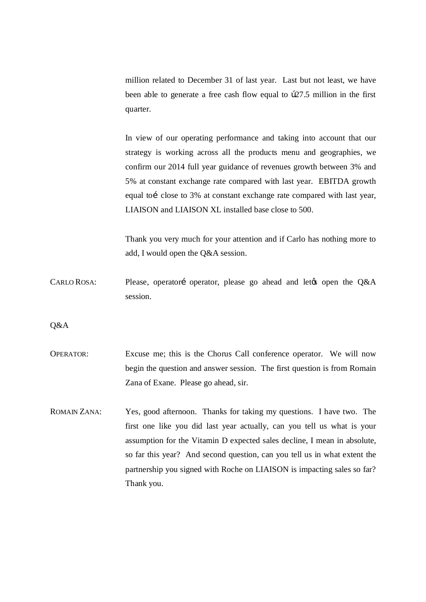million related to December 31 of last year. Last but not least, we have been able to generate a free cash flow equal to  $b27.5$  million in the first quarter.

In view of our operating performance and taking into account that our strategy is working across all the products menu and geographies, we confirm our 2014 full year guidance of revenues growth between 3% and 5% at constant exchange rate compared with last year. EBITDA growth equal toi close to 3% at constant exchange rate compared with last year, LIAISON and LIAISON XL installed base close to 500.

Thank you very much for your attention and if Carlo has nothing more to add, I would open the Q&A session.

CARLO ROSA: Please, operatori operator, please go ahead and let the open the Q&A session.

Q&A

- OPERATOR: Excuse me; this is the Chorus Call conference operator. We will now begin the question and answer session. The first question is from Romain Zana of Exane. Please go ahead, sir.
- ROMAIN ZANA: Yes, good afternoon. Thanks for taking my questions. I have two. The first one like you did last year actually, can you tell us what is your assumption for the Vitamin D expected sales decline, I mean in absolute, so far this year? And second question, can you tell us in what extent the partnership you signed with Roche on LIAISON is impacting sales so far? Thank you.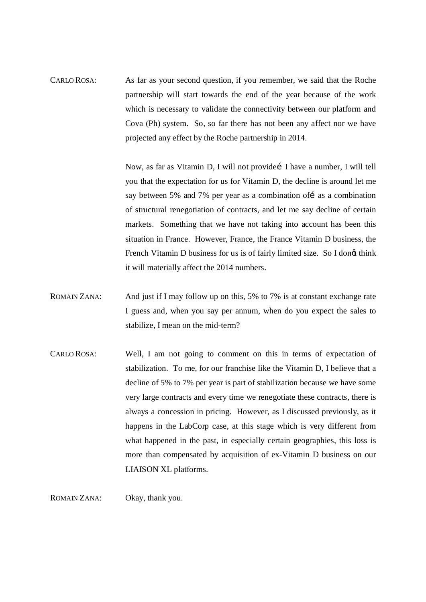CARLO ROSA: As far as your second question, if you remember, we said that the Roche partnership will start towards the end of the year because of the work which is necessary to validate the connectivity between our platform and Cova (Ph) system. So, so far there has not been any affect nor we have projected any effect by the Roche partnership in 2014.

> Now, as far as Vitamin D, I will not provide i I have a number, I will tell you that the expectation for us for Vitamin D, the decline is around let me say between 5% and 7% per year as a combination of i as a combination of structural renegotiation of contracts, and let me say decline of certain markets. Something that we have not taking into account has been this situation in France. However, France, the France Vitamin D business, the French Vitamin D business for us is of fairly limited size. So I dong think it will materially affect the 2014 numbers.

- ROMAIN ZANA: And just if I may follow up on this, 5% to 7% is at constant exchange rate I guess and, when you say per annum, when do you expect the sales to stabilize, I mean on the mid-term?
- CARLO ROSA: Well, I am not going to comment on this in terms of expectation of stabilization. To me, for our franchise like the Vitamin D, I believe that a decline of 5% to 7% per year is part of stabilization because we have some very large contracts and every time we renegotiate these contracts, there is always a concession in pricing. However, as I discussed previously, as it happens in the LabCorp case, at this stage which is very different from what happened in the past, in especially certain geographies, this loss is more than compensated by acquisition of ex-Vitamin D business on our LIAISON XL platforms.

ROMAIN ZANA: Okay, thank you.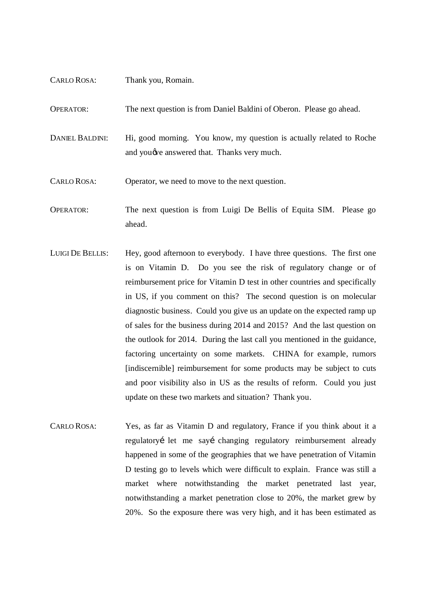| <b>CARLO ROSA:</b>     | Thank you, Romain.                                                                                                          |
|------------------------|-----------------------------------------------------------------------------------------------------------------------------|
| <b>OPERATOR:</b>       | The next question is from Daniel Baldini of Oberon. Please go ahead.                                                        |
| <b>DANIEL BALDINI:</b> | Hi, good morning. You know, my question is actually related to Roche<br>and you <i>ove</i> answered that. Thanks very much. |
| <b>CARLO ROSA:</b>     | Operator, we need to move to the next question.                                                                             |
| <b>OPERATOR:</b>       | The next question is from Luigi De Bellis of Equita SIM. Please go                                                          |

- ahead. LUIGI DE BELLIS: Hey, good afternoon to everybody. I have three questions. The first one
- is on Vitamin D. Do you see the risk of regulatory change or of reimbursement price for Vitamin D test in other countries and specifically in US, if you comment on this? The second question is on molecular diagnostic business. Could you give us an update on the expected ramp up of sales for the business during 2014 and 2015? And the last question on the outlook for 2014. During the last call you mentioned in the guidance, factoring uncertainty on some markets. CHINA for example, rumors [indiscernible] reimbursement for some products may be subject to cuts and poor visibility also in US as the results of reform. Could you just update on these two markets and situation? Thank you.
- CARLO ROSA: Yes, as far as Vitamin D and regulatory, France if you think about it a regulatoryí let me sayí changing regulatory reimbursement already happened in some of the geographies that we have penetration of Vitamin D testing go to levels which were difficult to explain. France was still a market where notwithstanding the market penetrated last year, notwithstanding a market penetration close to 20%, the market grew by 20%. So the exposure there was very high, and it has been estimated as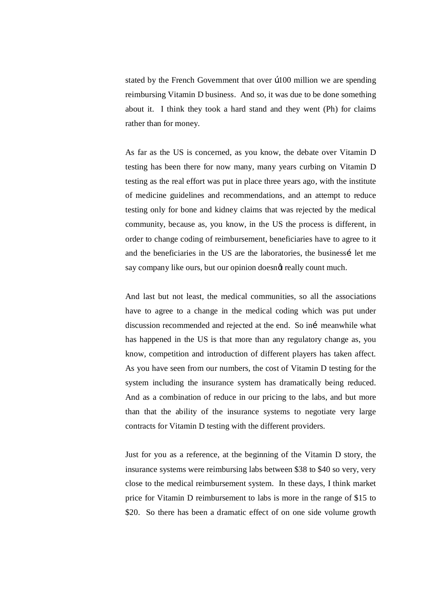stated by the French Government that over  $\beta$ 100 million we are spending reimbursing Vitamin D business. And so, it was due to be done something about it. I think they took a hard stand and they went (Ph) for claims rather than for money.

As far as the US is concerned, as you know, the debate over Vitamin D testing has been there for now many, many years curbing on Vitamin D testing as the real effort was put in place three years ago, with the institute of medicine guidelines and recommendations, and an attempt to reduce testing only for bone and kidney claims that was rejected by the medical community, because as, you know, in the US the process is different, in order to change coding of reimbursement, beneficiaries have to agree to it and the beneficiaries in the US are the laboratories, the businessi let me say company like ours, but our opinion doesnat really count much.

And last but not least, the medical communities, so all the associations have to agree to a change in the medical coding which was put under discussion recommended and rejected at the end. So ini meanwhile what has happened in the US is that more than any regulatory change as, you know, competition and introduction of different players has taken affect. As you have seen from our numbers, the cost of Vitamin D testing for the system including the insurance system has dramatically being reduced. And as a combination of reduce in our pricing to the labs, and but more than that the ability of the insurance systems to negotiate very large contracts for Vitamin D testing with the different providers.

Just for you as a reference, at the beginning of the Vitamin D story, the insurance systems were reimbursing labs between \$38 to \$40 so very, very close to the medical reimbursement system. In these days, I think market price for Vitamin D reimbursement to labs is more in the range of \$15 to \$20. So there has been a dramatic effect of on one side volume growth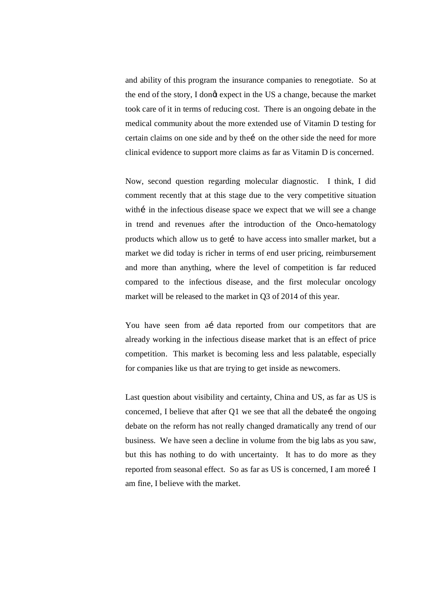and ability of this program the insurance companies to renegotiate. So at the end of the story, I dongt expect in the US a change, because the market took care of it in terms of reducing cost. There is an ongoing debate in the medical community about the more extended use of Vitamin D testing for certain claims on one side and by thei on the other side the need for more clinical evidence to support more claims as far as Vitamin D is concerned.

Now, second question regarding molecular diagnostic. I think, I did comment recently that at this stage due to the very competitive situation with in the infectious disease space we expect that we will see a change in trend and revenues after the introduction of the Onco-hematology products which allow us to get to have access into smaller market, but a market we did today is richer in terms of end user pricing, reimbursement and more than anything, where the level of competition is far reduced compared to the infectious disease, and the first molecular oncology market will be released to the market in Q3 of 2014 of this year.

You have seen from a data reported from our competitors that are already working in the infectious disease market that is an effect of price competition. This market is becoming less and less palatable, especially for companies like us that are trying to get inside as newcomers.

Last question about visibility and certainty, China and US, as far as US is concerned, I believe that after  $Q1$  we see that all the debate the ongoing debate on the reform has not really changed dramatically any trend of our business. We have seen a decline in volume from the big labs as you saw, but this has nothing to do with uncertainty. It has to do more as they reported from seasonal effect. So as far as US is concerned, I am morei I am fine, I believe with the market.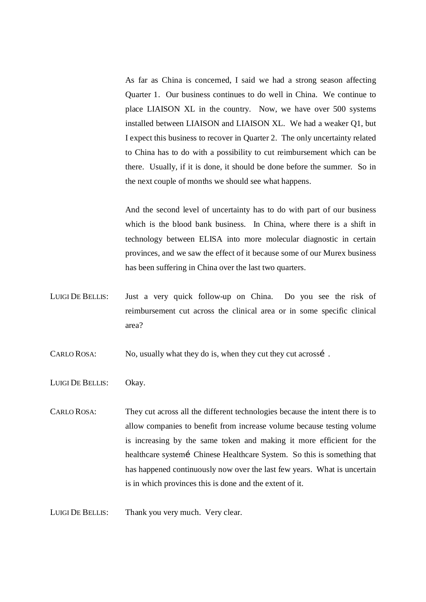As far as China is concerned, I said we had a strong season affecting Quarter 1. Our business continues to do well in China. We continue to place LIAISON XL in the country. Now, we have over 500 systems installed between LIAISON and LIAISON XL. We had a weaker Q1, but I expect this business to recover in Quarter 2. The only uncertainty related to China has to do with a possibility to cut reimbursement which can be there. Usually, if it is done, it should be done before the summer. So in the next couple of months we should see what happens.

And the second level of uncertainty has to do with part of our business which is the blood bank business. In China, where there is a shift in technology between ELISA into more molecular diagnostic in certain provinces, and we saw the effect of it because some of our Murex business has been suffering in China over the last two quarters.

LUIGI DE BELLIS: Just a very quick follow-up on China. Do you see the risk of reimbursement cut across the clinical area or in some specific clinical area?

CARLO ROSA: No, usually what they do is, when they cut they cut acrossi.

LUIGI DE BELLIS: Okay.

CARLO ROSA: They cut across all the different technologies because the intent there is to allow companies to benefit from increase volume because testing volume is increasing by the same token and making it more efficient for the healthcare system Chinese Healthcare System. So this is something that has happened continuously now over the last few years. What is uncertain is in which provinces this is done and the extent of it.

LUIGI DE BELLIS: Thank you very much. Very clear.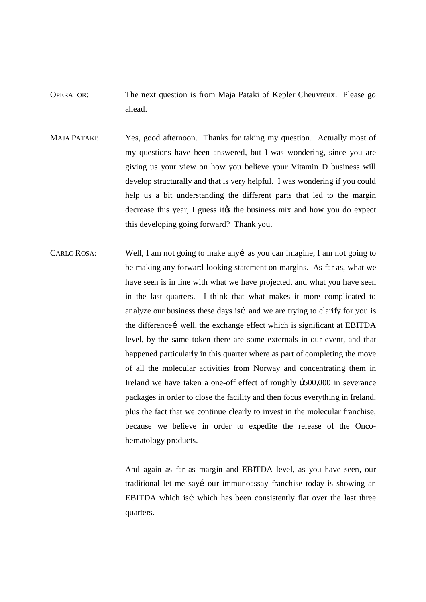- OPERATOR: The next question is from Maja Pataki of Kepler Cheuvreux. Please go ahead.
- MAJA PATAKI: Yes, good afternoon. Thanks for taking my question. Actually most of my questions have been answered, but I was wondering, since you are giving us your view on how you believe your Vitamin D business will develop structurally and that is very helpful. I was wondering if you could help us a bit understanding the different parts that led to the margin decrease this year, I guess its the business mix and how you do expect this developing going forward? Thank you.
- CARLO ROSA: Well, I am not going to make any i as you can imagine, I am not going to be making any forward-looking statement on margins. As far as, what we have seen is in line with what we have projected, and what you have seen in the last quarters. I think that what makes it more complicated to analyze our business these days is and we are trying to clarify for you is the difference i well, the exchange effect which is significant at EBITDA level, by the same token there are some externals in our event, and that happened particularly in this quarter where as part of completing the move of all the molecular activities from Norway and concentrating them in Ireland we have taken a one-off effect of roughly  $b500,000$  in severance packages in order to close the facility and then focus everything in Ireland, plus the fact that we continue clearly to invest in the molecular franchise, because we believe in order to expedite the release of the Oncohematology products.

And again as far as margin and EBITDA level, as you have seen, our traditional let me sayí our immunoassay franchise today is showing an EBITDA which isi which has been consistently flat over the last three quarters.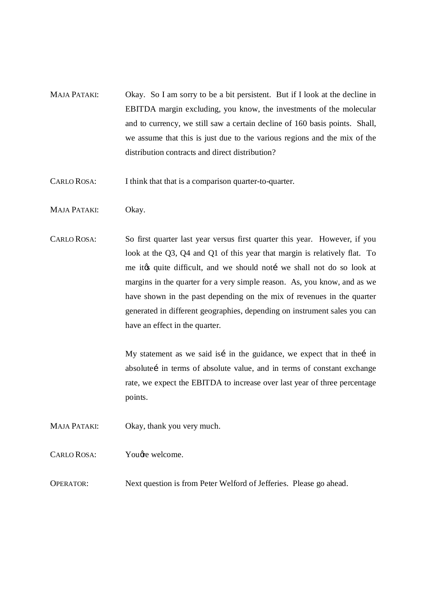MAJA PATAKI: Okay. So I am sorry to be a bit persistent. But if I look at the decline in EBITDA margin excluding, you know, the investments of the molecular and to currency, we still saw a certain decline of 160 basis points. Shall, we assume that this is just due to the various regions and the mix of the distribution contracts and direct distribution?

CARLO ROSA: I think that that is a comparison quarter-to-quarter.

- MAJA PATAKI: Okay.
- CARLO ROSA: So first quarter last year versus first quarter this year. However, if you look at the Q3, Q4 and Q1 of this year that margin is relatively flat. To me it to quite difficult, and we should not i we shall not do so look at margins in the quarter for a very simple reason. As, you know, and as we have shown in the past depending on the mix of revenues in the quarter generated in different geographies, depending on instrument sales you can have an effect in the quarter.

My statement as we said isí in the guidance, we expect that in thei in absolutei in terms of absolute value, and in terms of constant exchange rate, we expect the EBITDA to increase over last year of three percentage points.

MAJA PATAKI: Okay, thank you very much.

CARLO ROSA: You're welcome.

OPERATOR: Next question is from Peter Welford of Jefferies. Please go ahead.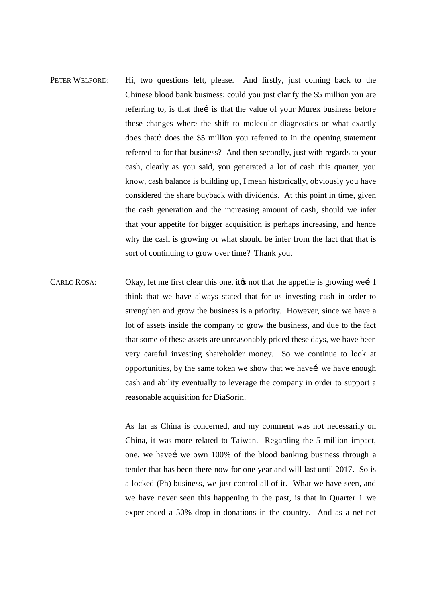- PETER WELFORD: Hi, two questions left, please. And firstly, just coming back to the Chinese blood bank business; could you just clarify the \$5 million you are referring to, is that the is that the value of your Murex business before these changes where the shift to molecular diagnostics or what exactly does that does the \$5 million you referred to in the opening statement referred to for that business? And then secondly, just with regards to your cash, clearly as you said, you generated a lot of cash this quarter, you know, cash balance is building up, I mean historically, obviously you have considered the share buyback with dividends. At this point in time, given the cash generation and the increasing amount of cash, should we infer that your appetite for bigger acquisition is perhaps increasing, and hence why the cash is growing or what should be infer from the fact that that is sort of continuing to grow over time? Thank you.
- CARLO ROSA: Okay, let me first clear this one, it to not that the appetite is growing wei I think that we have always stated that for us investing cash in order to strengthen and grow the business is a priority. However, since we have a lot of assets inside the company to grow the business, and due to the fact that some of these assets are unreasonably priced these days, we have been very careful investing shareholder money. So we continue to look at opportunities, by the same token we show that we have move we have enough cash and ability eventually to leverage the company in order to support a reasonable acquisition for DiaSorin.

As far as China is concerned, and my comment was not necessarily on China, it was more related to Taiwan. Regarding the 5 million impact, one, we have we own 100% of the blood banking business through a tender that has been there now for one year and will last until 2017. So is a locked (Ph) business, we just control all of it. What we have seen, and we have never seen this happening in the past, is that in Quarter 1 we experienced a 50% drop in donations in the country. And as a net-net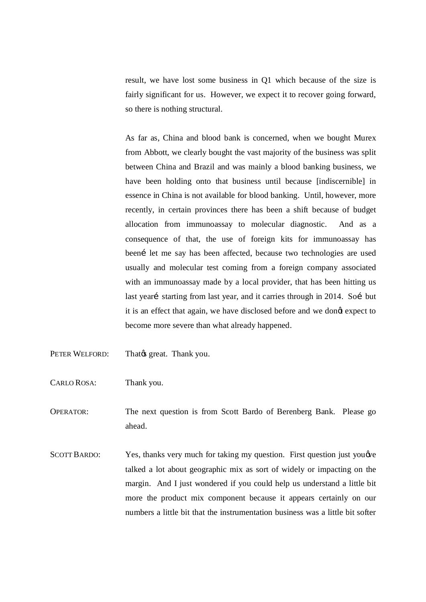result, we have lost some business in Q1 which because of the size is fairly significant for us. However, we expect it to recover going forward, so there is nothing structural.

As far as, China and blood bank is concerned, when we bought Murex from Abbott, we clearly bought the vast majority of the business was split between China and Brazil and was mainly a blood banking business, we have been holding onto that business until because [indiscernible] in essence in China is not available for blood banking. Until, however, more recently, in certain provinces there has been a shift because of budget allocation from immunoassay to molecular diagnostic. And as a consequence of that, the use of foreign kits for immunoassay has been let me say has been affected, because two technologies are used usually and molecular test coming from a foreign company associated with an immunoassay made by a local provider, that has been hitting us last yeari starting from last year, and it carries through in 2014. Soi but it is an effect that again, we have disclosed before and we dongt expect to become more severe than what already happened.

- PETER WELFORD: That great. Thank you.
- CARLO ROSA: Thank you.

OPERATOR: The next question is from Scott Bardo of Berenberg Bank. Please go ahead.

SCOTT BARDO: Yes, thanks very much for taking my question. First question just you  $\phi$ talked a lot about geographic mix as sort of widely or impacting on the margin. And I just wondered if you could help us understand a little bit more the product mix component because it appears certainly on our numbers a little bit that the instrumentation business was a little bit softer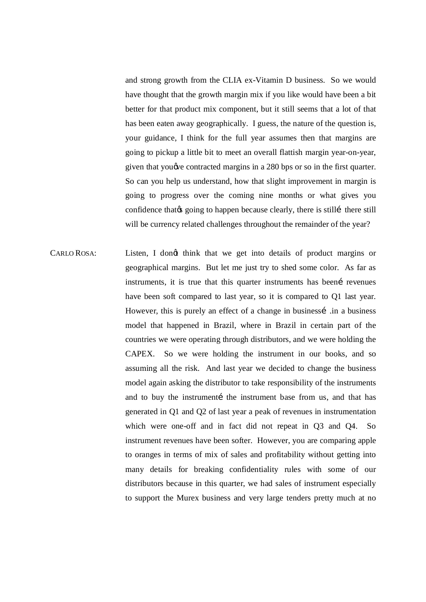and strong growth from the CLIA ex-Vitamin D business. So we would have thought that the growth margin mix if you like would have been a bit better for that product mix component, but it still seems that a lot of that has been eaten away geographically. I guess, the nature of the question is, your guidance, I think for the full year assumes then that margins are going to pickup a little bit to meet an overall flattish margin year-on-year, given that you *we* contracted margins in a 280 bps or so in the first quarter. So can you help us understand, how that slight improvement in margin is going to progress over the coming nine months or what gives you confidence that  $\phi$  going to happen because clearly, there is still there still will be currency related challenges throughout the remainder of the year?

CARLO ROSA: Listen, I dongt think that we get into details of product margins or geographical margins. But let me just try to shed some color. As far as instruments, it is true that this quarter instruments has been revenues have been soft compared to last year, so it is compared to Q1 last year. However, this is purely an effect of a change in businessi in a business model that happened in Brazil, where in Brazil in certain part of the countries we were operating through distributors, and we were holding the CAPEX. So we were holding the instrument in our books, and so assuming all the risk. And last year we decided to change the business model again asking the distributor to take responsibility of the instruments and to buy the instrumenti the instrument base from us, and that has generated in Q1 and Q2 of last year a peak of revenues in instrumentation which were one-off and in fact did not repeat in Q3 and Q4. So instrument revenues have been softer. However, you are comparing apple to oranges in terms of mix of sales and profitability without getting into many details for breaking confidentiality rules with some of our distributors because in this quarter, we had sales of instrument especially to support the Murex business and very large tenders pretty much at no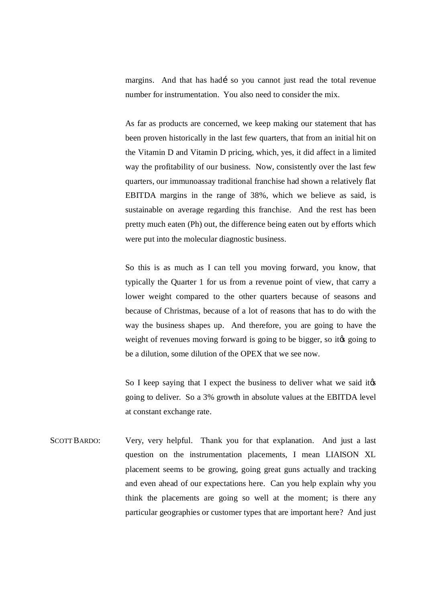margins. And that has hadí so you cannot just read the total revenue number for instrumentation. You also need to consider the mix.

As far as products are concerned, we keep making our statement that has been proven historically in the last few quarters, that from an initial hit on the Vitamin D and Vitamin D pricing, which, yes, it did affect in a limited way the profitability of our business. Now, consistently over the last few quarters, our immunoassay traditional franchise had shown a relatively flat EBITDA margins in the range of 38%, which we believe as said, is sustainable on average regarding this franchise. And the rest has been pretty much eaten (Ph) out, the difference being eaten out by efforts which were put into the molecular diagnostic business.

So this is as much as I can tell you moving forward, you know, that typically the Quarter 1 for us from a revenue point of view, that carry a lower weight compared to the other quarters because of seasons and because of Christmas, because of a lot of reasons that has to do with the way the business shapes up. And therefore, you are going to have the weight of revenues moving forward is going to be bigger, so its going to be a dilution, some dilution of the OPEX that we see now.

So I keep saying that I expect the business to deliver what we said its going to deliver. So a 3% growth in absolute values at the EBITDA level at constant exchange rate.

SCOTT BARDO: Very, very helpful. Thank you for that explanation. And just a last question on the instrumentation placements, I mean LIAISON XL placement seems to be growing, going great guns actually and tracking and even ahead of our expectations here. Can you help explain why you think the placements are going so well at the moment; is there any particular geographies or customer types that are important here? And just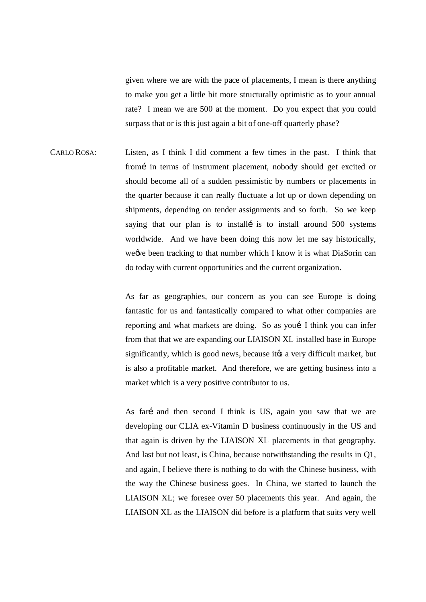given where we are with the pace of placements, I mean is there anything to make you get a little bit more structurally optimistic as to your annual rate? I mean we are 500 at the moment. Do you expect that you could surpass that or is this just again a bit of one-off quarterly phase?

CARLO ROSA: Listen, as I think I did comment a few times in the past. I think that from in terms of instrument placement, nobody should get excited or should become all of a sudden pessimistic by numbers or placements in the quarter because it can really fluctuate a lot up or down depending on shipments, depending on tender assignments and so forth. So we keep saying that our plan is to install is to install around 500 systems worldwide. And we have been doing this now let me say historically, we we been tracking to that number which I know it is what DiaSorin can do today with current opportunities and the current organization.

> As far as geographies, our concern as you can see Europe is doing fantastic for us and fantastically compared to what other companies are reporting and what markets are doing. So as yout I think you can infer from that that we are expanding our LIAISON XL installed base in Europe significantly, which is good news, because it a very difficult market, but is also a profitable market. And therefore, we are getting business into a market which is a very positive contributor to us.

> As fari and then second I think is US, again you saw that we are developing our CLIA ex-Vitamin D business continuously in the US and that again is driven by the LIAISON XL placements in that geography. And last but not least, is China, because notwithstanding the results in Q1, and again, I believe there is nothing to do with the Chinese business, with the way the Chinese business goes. In China, we started to launch the LIAISON XL; we foresee over 50 placements this year. And again, the LIAISON XL as the LIAISON did before is a platform that suits very well